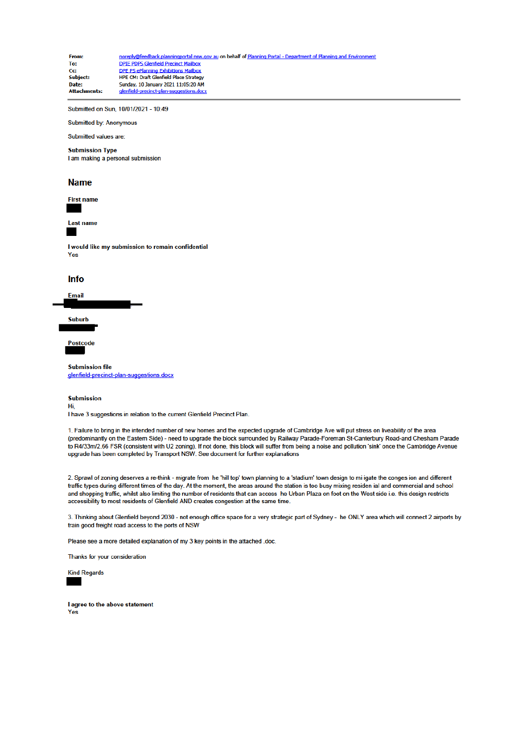| From:               | noreply@feedback.planningportal nsw.gov au on behalf of Planning Portal - Department of Planning and Environment |
|---------------------|------------------------------------------------------------------------------------------------------------------|
| To:                 | <b>DPIE PDPS Glenfield Precinct Mailbox</b>                                                                      |
| Cc:                 | DPE PS ePlanning Exhibitions Mailbox                                                                             |
| Subject:            | <b>HPE CM: Draft Glenfield Place Strategy</b>                                                                    |
| Date:               | Sunday, 10 January 2021 11:05:20 AM                                                                              |
| <b>Attachments:</b> | glenfield-precinct-plan-suggestions.docx                                                                         |

Submitted on Sun, 10/01/2021 - 10:49

**Submitted by: Anonymous** 

## Submitted values are:

**Submission Type** 

I am making a personal submission

### **Name**



Last name

I would like my submission to remain confidential Yes

### Info



**Suburb** 

Postcode

#### **Submission file**

glenfield-precinct-plan-suggestions.docx

#### **Submission**

Hi.

I have 3 suggestions in relation to the current Glenfield Precinct Plan.

1. Failure to bring in the intended number of new homes and the expected upgrade of Cambridge Ave will put stress on liveability of the area (predominantly on the Eastern Side) - need to upgrade the block surrounded by Railway Parade-Foreman St-Canterbury Road-and Chesham Parade to R4/33m/2.66 FSR (consistent with U2 zoning). If not done, this block will suffer from being a noise and pollution 'sink' once the Cambridge Avenue upgrade has been completed by Transport NSW. See document for further explanations

2. Sprawl of zoning deserves a re-think - migrate from he 'hill top' town planning to a 'stadium' town design to mi igate the conges ion and different traffic types during different times of the day. At the moment, the areas around the station is too busy mixing residen ial and commercial and school and shopping traffic, whilst also limiting the number of residents that can access he Urban Plaza on foot on the West side i.e. this design restricts accessibility to most residents of Glenfield AND creates congestion at the same time.

3. Thinking about Glenfield beyond 2030 - not enough office space for a very strategic part of Sydney - he ONLY area which will connect 2 airports by train good freight road access to the ports of NSW

Please see a more detailed explanation of my 3 key points in the attached .doc.

Thanks for your consideration



I agree to the above statement Yes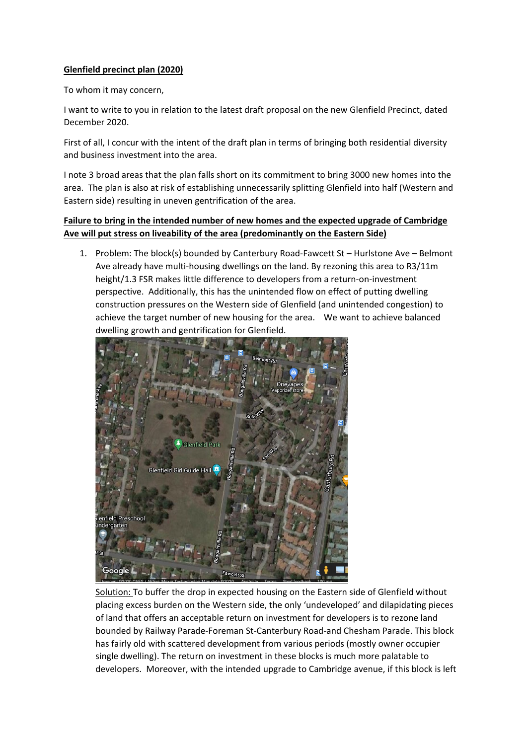## **Glenfield precinct plan (2020)**

To whom it may concern,

I want to write to you in relation to the latest draft proposal on the new Glenfield Precinct, dated December 2020.

First of all, I concur with the intent of the draft plan in terms of bringing both residential diversity and business investment into the area.

I note 3 broad areas that the plan falls short on its commitment to bring 3000 new homes into the area. The plan is also at risk of establishing unnecessarily splitting Glenfield into half (Western and Eastern side) resulting in uneven gentrification of the area.

# **Failure to bring in the intended number of new homes and the expected upgrade of Cambridge Ave will put stress on liveability of the area (predominantly on the Eastern Side)**

1. Problem: The block(s) bounded by Canterbury Road-Fawcett St – Hurlstone Ave – Belmont Ave already have multi-housing dwellings on the land. By rezoning this area to R3/11m height/1.3 FSR makes little difference to developers from a return-on-investment perspective. Additionally, this has the unintended flow on effect of putting dwelling construction pressures on the Western side of Glenfield (and unintended congestion) to achieve the target number of new housing for the area. We want to achieve balanced dwelling growth and gentrification for Glenfield.



Solution: To buffer the drop in expected housing on the Eastern side of Glenfield without placing excess burden on the Western side, the only 'undeveloped' and dilapidating pieces of land that offers an acceptable return on investment for developers is to rezone land bounded by Railway Parade-Foreman St-Canterbury Road-and Chesham Parade. This block has fairly old with scattered development from various periods (mostly owner occupier single dwelling). The return on investment in these blocks is much more palatable to developers. Moreover, with the intended upgrade to Cambridge avenue, if this block is left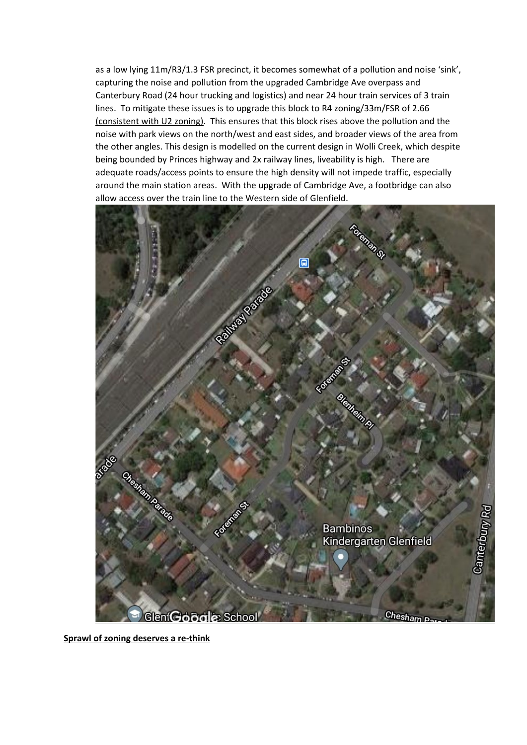as a low lying 11m/R3/1.3 FSR precinct, it becomes somewhat of a pollution and noise 'sink', capturing the noise and pollution from the upgraded Cambridge Ave overpass and Canterbury Road (24 hour trucking and logistics) and near 24 hour train services of 3 train lines. To mitigate these issues is to upgrade this block to R4 zoning/33m/FSR of 2.66 (consistent with U2 zoning). This ensures that this block rises above the pollution and the noise with park views on the north/west and east sides, and broader views of the area from the other angles. This design is modelled on the current design in Wolli Creek, which despite being bounded by Princes highway and 2x railway lines, liveability is high. There are adequate roads/access points to ensure the high density will not impede traffic, especially around the main station areas. With the upgrade of Cambridge Ave, a footbridge can also allow access over the train line to the Western side of Glenfield.



**Sprawl of zoning deserves a re-think**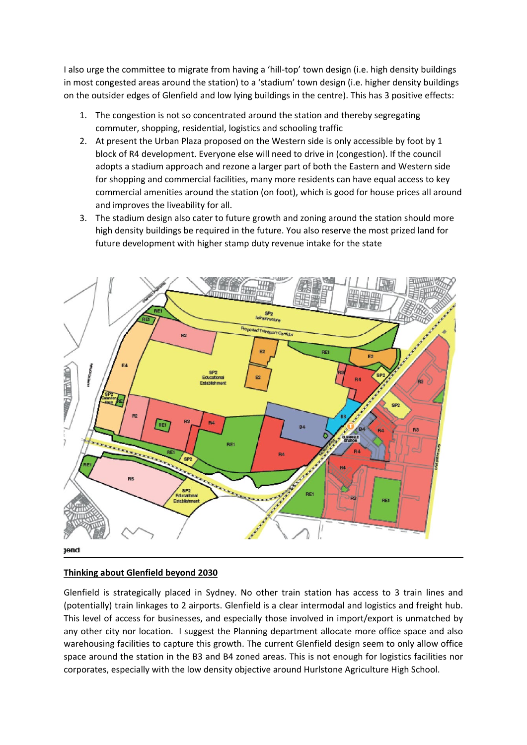I also urge the committee to migrate from having a 'hill-top' town design (i.e. high density buildings in most congested areas around the station) to a 'stadium' town design (i.e. higher density buildings on the outsider edges of Glenfield and low lying buildings in the centre). This has 3 positive effects:

- 1. The congestion is not so concentrated around the station and thereby segregating commuter, shopping, residential, logistics and schooling traffic
- 2. At present the Urban Plaza proposed on the Western side is only accessible by foot by 1 block of R4 development. Everyone else will need to drive in (congestion). If the council adopts a stadium approach and rezone a larger part of both the Eastern and Western side for shopping and commercial facilities, many more residents can have equal access to key commercial amenities around the station (on foot), which is good for house prices all around and improves the liveability for all.
- 3. The stadium design also cater to future growth and zoning around the station should more high density buildings be required in the future. You also reserve the most prized land for future development with higher stamp duty revenue intake for the state



## **Thinking about Glenfield beyond 2030**

Glenfield is strategically placed in Sydney. No other train station has access to 3 train lines and (potentially) train linkages to 2 airports. Glenfield is a clear intermodal and logistics and freight hub. This level of access for businesses, and especially those involved in import/export is unmatched by any other city nor location. I suggest the Planning department allocate more office space and also warehousing facilities to capture this growth. The current Glenfield design seem to only allow office space around the station in the B3 and B4 zoned areas. This is not enough for logistics facilities nor corporates, especially with the low density objective around Hurlstone Agriculture High School.